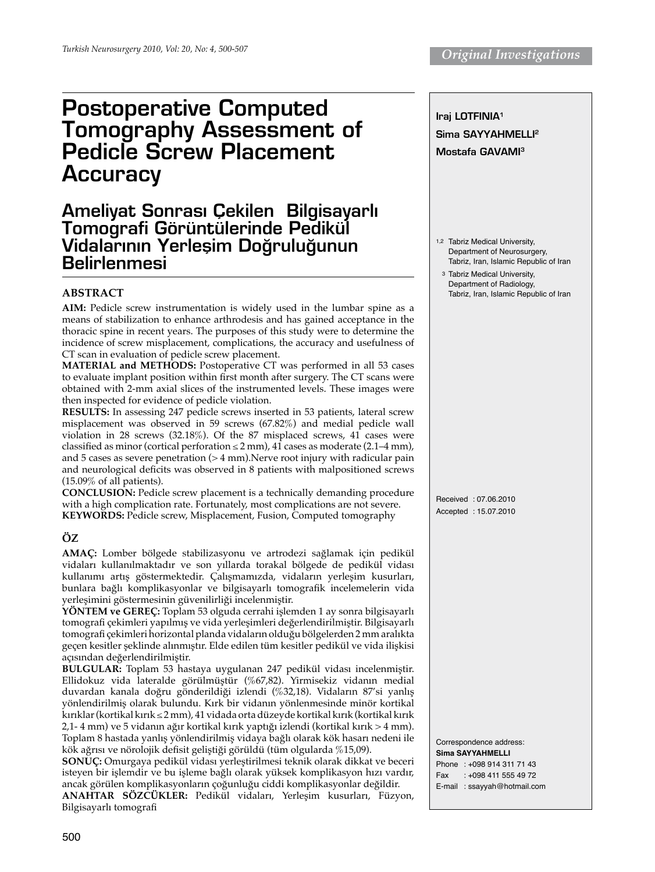# Postoperative Computed Tomography Assessment of Pedicle Screw Placement **Accuracy**

# Ameliyat Sonrası Çekilen Bilgisayarlı Tomografi Görüntülerinde Pedikül Vidalarının Yerlesim Doğruluğunun Belirlenmesi

# **ABSTRACT**

**Aim:** Pedicle screw instrumentation is widely used in the lumbar spine as a means of stabilization to enhance arthrodesis and has gained acceptance in the thoracic spine in recent years. The purposes of this study were to determine the incidence of screw misplacement, complications, the accuracy and usefulness of CT scan in evaluation of pedicle screw placement.

**Material and Methods:** Postoperative CT was performed in all 53 cases to evaluate implant position within first month after surgery. The CT scans were obtained with 2-mm axial slices of the instrumented levels. These images were then inspected for evidence of pedicle violation.

**Results:** In assessing 247 pedicle screws inserted in 53 patients, lateral screw misplacement was observed in 59 screws (67.82%) and medial pedicle wall violation in 28 screws (32.18%). Of the 87 misplaced screws, 41 cases were classified as minor (cortical perforation  $\leq$  2 mm), 41 cases as moderate (2.1–4 mm), and 5 cases as severe penetration (> 4 mm). Nerve root injury with radicular pain and neurological deficits was observed in 8 patients with malpositioned screws (15.09% of all patients).

**Conclusion:** Pedicle screw placement is a technically demanding procedure with a high complication rate. Fortunately, most complications are not severe. **Keywords:** Pedicle screw, Misplacement, Fusion, Computed tomography

# **ÖZ**

**Amaç:** Lomber bölgede stabilizasyonu ve artrodezi sağlamak için pedikül vidaları kullanılmaktadır ve son yıllarda torakal bölgede de pedikül vidası kullanımı artış göstermektedir. Çalışmamızda, vidaların yerleşim kusurları, bunlara bağlı komplikasyonlar ve bilgisayarlı tomografik incelemelerin vida yerleşimini göstermesinin güvenilirliği incelenmiştir.

**Yöntem ve Gereç:** Toplam 53 olguda cerrahi işlemden 1 ay sonra bilgisayarlı tomografi çekimleri yapılmış ve vida yerleşimleri değerlendirilmiştir. Bilgisayarlı tomografi çekimleri horizontal planda vidaların olduğu bölgelerden 2 mm aralıkta geçen kesitler şeklinde alınmıştır. Elde edilen tüm kesitler pedikül ve vida ilişkisi açısından değerlendirilmiştir.

**Bulgular:** Toplam 53 hastaya uygulanan 247 pedikül vidası incelenmiştir. Ellidokuz vida lateralde görülmüştür (%67,82). Yirmisekiz vidanın medial duvardan kanala doğru gönderildiği izlendi (%32,18). Vidaların 87'si yanlış yönlendirilmiş olarak bulundu. Kırk bir vidanın yönlenmesinde minör kortikal kırıklar (kortikal kırık ≤ 2 mm), 41 vidada orta düzeyde kortikal kırık (kortikal kırık 2,1- 4 mm) ve 5 vidanın ağır kortikal kırık yaptığı izlendi (kortikal kırık > 4 mm). Toplam 8 hastada yanlış yönlendirilmiş vidaya bağlı olarak kök hasarı nedeni ile kök ağrısı ve nörolojik defisit geliştiği görüldü (tüm olgularda %15,09).

**Sonuç:** Omurgaya pedikül vidası yerleştirilmesi teknik olarak dikkat ve beceri isteyen bir işlemdir ve bu işleme bağlı olarak yüksek komplikasyon hızı vardır, ancak görülen komplikasyonların çoğunluğu ciddi komplikasyonlar değildir.

**ANAHTAR SÖZCÜKLER:** Pedikül vidaları, Yerleşim kusurları, Füzyon, Bilgisayarlı tomografi



Correspondence address: **Sima sayyahmelli**  Phone : +098 914 311 71 43 Fax : +098 411 555 49 72 E-mail : ssayyah@hotmail.com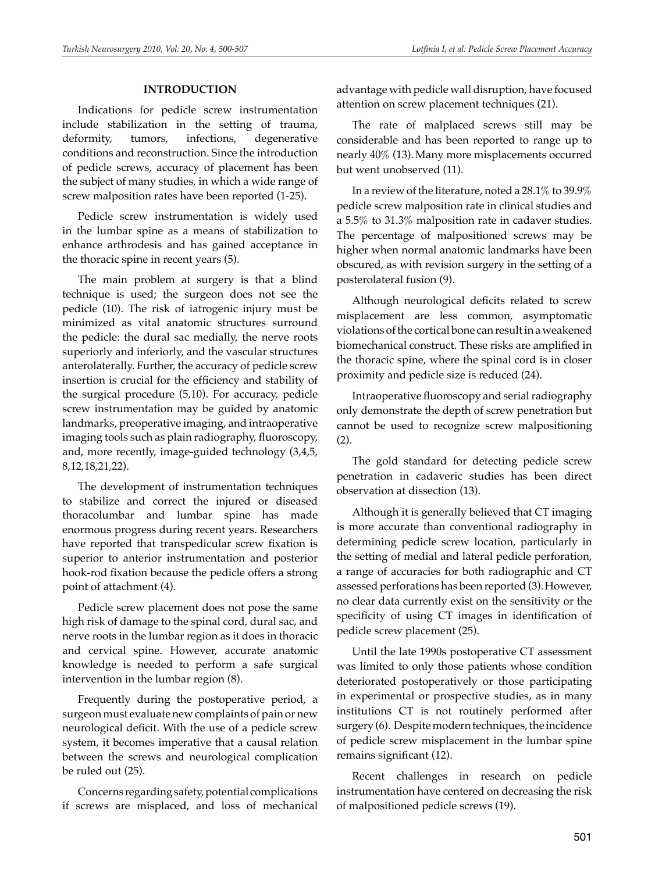## **Introduction**

Indications for pedicle screw instrumentation include stabilization in the setting of trauma, deformity, tumors, infections, degenerative conditions and reconstruction. Since the introduction of pedicle screws, accuracy of placement has been the subject of many studies, in which a wide range of screw malposition rates have been reported (1-25).

Pedicle screw instrumentation is widely used in the lumbar spine as a means of stabilization to enhance arthrodesis and has gained acceptance in the thoracic spine in recent years (5).

The main problem at surgery is that a blind technique is used; the surgeon does not see the pedicle (10). The risk of iatrogenic injury must be minimized as vital anatomic structures surround the pedicle: the dural sac medially, the nerve roots superiorly and inferiorly, and the vascular structures anterolaterally. Further, the accuracy of pedicle screw insertion is crucial for the efficiency and stability of the surgical procedure (5,10). For accuracy, pedicle screw instrumentation may be guided by anatomic landmarks, preoperative imaging, and intraoperative imaging tools such as plain radiography, fluoroscopy, and, more recently, image-guided technology (3,4,5, 8,12,18,21,22).

The development of instrumentation techniques to stabilize and correct the injured or diseased thoracolumbar and lumbar spine has made enormous progress during recent years. Researchers have reported that transpedicular screw fixation is superior to anterior instrumentation and posterior hook-rod fixation because the pedicle offers a strong point of attachment (4).

Pedicle screw placement does not pose the same high risk of damage to the spinal cord, dural sac, and nerve roots in the lumbar region as it does in thoracic and cervical spine. However, accurate anatomic knowledge is needed to perform a safe surgical intervention in the lumbar region (8).

Frequently during the postoperative period, a surgeon must evaluate new complaints of pain or new neurological deficit. With the use of a pedicle screw system, it becomes imperative that a causal relation between the screws and neurological complication be ruled out (25).

Concerns regarding safety, potential complications if screws are misplaced, and loss of mechanical advantage with pedicle wall disruption, have focused attention on screw placement techniques (21).

The rate of malplaced screws still may be considerable and has been reported to range up to nearly 40% (13).Many more misplacements occurred but went unobserved (11).

In a review of the literature, noted a 28.1% to 39.9% pedicle screw malposition rate in clinical studies and a 5.5% to 31.3% malposition rate in cadaver studies. The percentage of malpositioned screws may be higher when normal anatomic landmarks have been obscured, as with revision surgery in the setting of a posterolateral fusion (9).

Although neurological deficits related to screw misplacement are less common, asymptomatic violations of the cortical bone can result in a weakened biomechanical construct. These risks are amplified in the thoracic spine, where the spinal cord is in closer proximity and pedicle size is reduced (24).

Intraoperative fluoroscopy and serial radiography only demonstrate the depth of screw penetration but cannot be used to recognize screw malpositioning (2).

The gold standard for detecting pedicle screw penetration in cadaveric studies has been direct observation at dissection (13).

Although it is generally believed that CT imaging is more accurate than conventional radiography in determining pedicle screw location, particularly in the setting of medial and lateral pedicle perforation, a range of accuracies for both radiographic and CT assessed perforations has been reported (3).However, no clear data currently exist on the sensitivity or the specificity of using CT images in identification of pedicle screw placement (25).

Until the late 1990s postoperative CT assessment was limited to only those patients whose condition deteriorated postoperatively or those participating in experimental or prospective studies, as in many institutions CT is not routinely performed after surgery (6). Despite modern techniques, the incidence of pedicle screw misplacement in the lumbar spine remains significant (12).

Recent challenges in research on pedicle instrumentation have centered on decreasing the risk of malpositioned pedicle screws (19).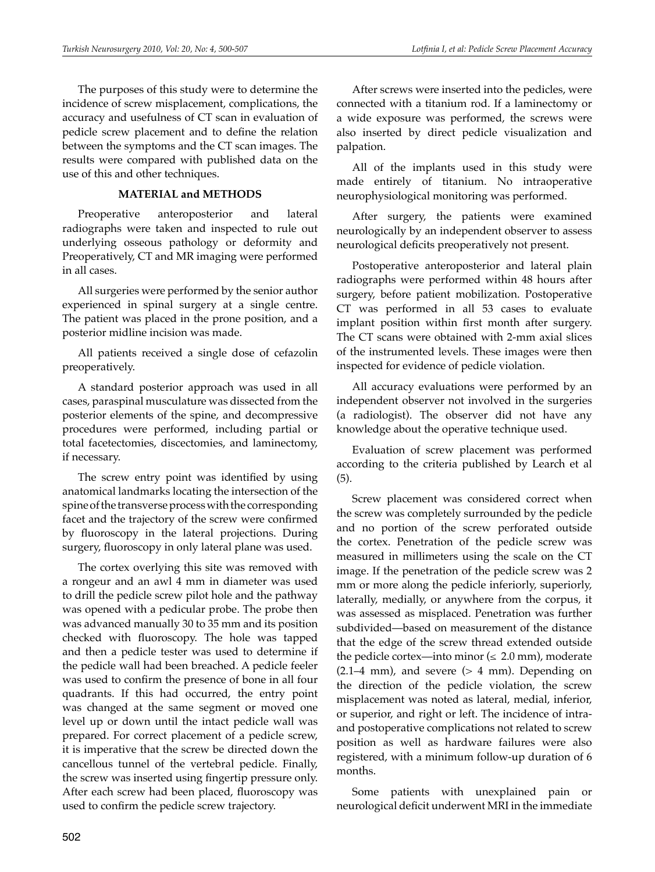The purposes of this study were to determine the incidence of screw misplacement, complications, the accuracy and usefulness of CT scan in evaluation of pedicle screw placement and to define the relation between the symptoms and the CT scan images. The results were compared with published data on the use of this and other techniques.

## **Material and Methods**

Preoperative anteroposterior and lateral radiographs were taken and inspected to rule out underlying osseous pathology or deformity and Preoperatively, CT and MR imaging were performed in all cases.

All surgeries were performed by the senior author experienced in spinal surgery at a single centre. The patient was placed in the prone position, and a posterior midline incision was made.

All patients received a single dose of cefazolin preoperatively.

A standard posterior approach was used in all cases, paraspinal musculature was dissected from the posterior elements of the spine, and decompressive procedures were performed, including partial or total facetectomies, discectomies, and laminectomy, if necessary.

The screw entry point was identified by using anatomical landmarks locating the intersection of the spine of the transverse process with the corresponding facet and the trajectory of the screw were confirmed by fluoroscopy in the lateral projections. During surgery, fluoroscopy in only lateral plane was used.

The cortex overlying this site was removed with a rongeur and an awl 4 mm in diameter was used to drill the pedicle screw pilot hole and the pathway was opened with a pedicular probe. The probe then was advanced manually 30 to 35 mm and its position checked with fluoroscopy. The hole was tapped and then a pedicle tester was used to determine if the pedicle wall had been breached. A pedicle feeler was used to confirm the presence of bone in all four quadrants. If this had occurred, the entry point was changed at the same segment or moved one level up or down until the intact pedicle wall was prepared. For correct placement of a pedicle screw, it is imperative that the screw be directed down the cancellous tunnel of the vertebral pedicle. Finally, the screw was inserted using fingertip pressure only. After each screw had been placed, fluoroscopy was used to confirm the pedicle screw trajectory.

After screws were inserted into the pedicles, were connected with a titanium rod. If a laminectomy or a wide exposure was performed, the screws were also inserted by direct pedicle visualization and palpation.

All of the implants used in this study were made entirely of titanium. No intraoperative neurophysiological monitoring was performed.

After surgery, the patients were examined neurologically by an independent observer to assess neurological deficits preoperatively not present.

Postoperative anteroposterior and lateral plain radiographs were performed within 48 hours after surgery, before patient mobilization. Postoperative CT was performed in all 53 cases to evaluate implant position within first month after surgery. The CT scans were obtained with 2-mm axial slices of the instrumented levels. These images were then inspected for evidence of pedicle violation.

All accuracy evaluations were performed by an independent observer not involved in the surgeries (a radiologist). The observer did not have any knowledge about the operative technique used.

Evaluation of screw placement was performed according to the criteria published by Learch et al (5).

Screw placement was considered correct when the screw was completely surrounded by the pedicle and no portion of the screw perforated outside the cortex. Penetration of the pedicle screw was measured in millimeters using the scale on the CT image. If the penetration of the pedicle screw was 2 mm or more along the pedicle inferiorly, superiorly, laterally, medially, or anywhere from the corpus, it was assessed as misplaced. Penetration was further subdivided—based on measurement of the distance that the edge of the screw thread extended outside the pedicle cortex—into minor  $(\leq 2.0 \text{ mm})$ , moderate  $(2.1–4 \text{ mm})$ , and severe  $(> 4 \text{ mm})$ . Depending on the direction of the pedicle violation, the screw misplacement was noted as lateral, medial, inferior, or superior, and right or left. The incidence of intraand postoperative complications not related to screw position as well as hardware failures were also registered, with a minimum follow-up duration of 6 months.

Some patients with unexplained pain or neurological deficit underwent MRI in the immediate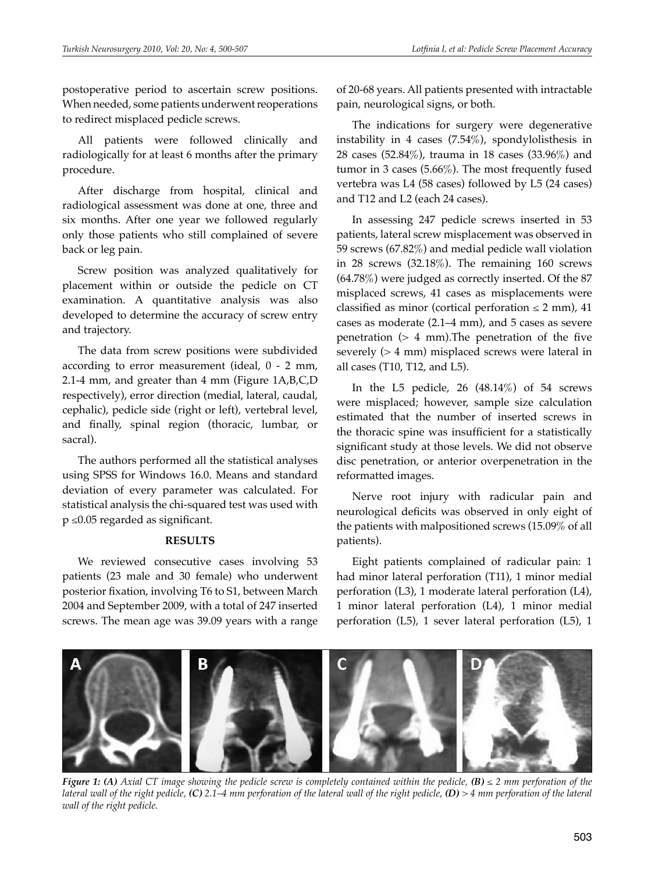postoperative period to ascertain screw positions. When needed, some patients underwent reoperations to redirect misplaced pedicle screws.

All patients were followed clinically and radiologically for at least 6 months after the primary procedure.

After discharge from hospital, clinical and radiological assessment was done at one, three and six months. After one year we followed regularly only those patients who still complained of severe back or leg pain.

Screw position was analyzed qualitatively for placement within or outside the pedicle on CT examination. A quantitative analysis was also developed to determine the accuracy of screw entry and trajectory.

The data from screw positions were subdivided according to error measurement (ideal, 0 - 2 mm, 2.1-4 mm, and greater than 4 mm (Figure 1A,B,C,D respectively), error direction (medial, lateral, caudal, cephalic), pedicle side (right or left), vertebral level, and finally, spinal region (thoracic, lumbar, or sacral).

The authors performed all the statistical analyses using SPSS for Windows 16.0. Means and standard deviation of every parameter was calculated. For statistical analysis the chi-squared test was used with p ≤0.05 regarded as significant.

#### **Results**

We reviewed consecutive cases involving 53 patients (23 male and 30 female) who underwent posterior fixation, involving T6 to S1, between March 2004 and September 2009, with a total of 247 inserted screws. The mean age was 39.09 years with a range

of 20-68 years. All patients presented with intractable pain, neurological signs, or both.

The indications for surgery were degenerative instability in 4 cases (7.54%), spondylolisthesis in 28 cases (52.84%), trauma in 18 cases (33.96%) and tumor in 3 cases (5.66%). The most frequently fused vertebra was L4 (58 cases) followed by L5 (24 cases) and T12 and L2 (each 24 cases).

In assessing 247 pedicle screws inserted in 53 patients, lateral screw misplacement was observed in 59 screws (67.82%) and medial pedicle wall violation in 28 screws (32.18%). The remaining 160 screws (64.78%) were judged as correctly inserted. Of the 87 misplaced screws, 41 cases as misplacements were classified as minor (cortical perforation  $\leq 2$  mm), 41 cases as moderate (2.1–4 mm), and 5 cases as severe penetration (> 4 mm).The penetration of the five severely (> 4 mm) misplaced screws were lateral in all cases (T10, T12, and L5).

In the L5 pedicle,  $26$   $(48.14\%)$  of 54 screws were misplaced; however, sample size calculation estimated that the number of inserted screws in the thoracic spine was insufficient for a statistically significant study at those levels. We did not observe disc penetration, or anterior overpenetration in the reformatted images.

Nerve root injury with radicular pain and neurological deficits was observed in only eight of the patients with malpositioned screws (15.09% of all patients).

Eight patients complained of radicular pain: 1 had minor lateral perforation (T11), 1 minor medial perforation (L3), 1 moderate lateral perforation (L4), 1 minor lateral perforation (L4), 1 minor medial perforation (L5), 1 sever lateral perforation (L5), 1



*Figure 1: (A) Axial CT image showing the pedicle screw is completely contained within the pedicle, (B) ≤ 2 mm perforation of the lateral wall of the right pedicle, (C) 2.1–4 mm perforation of the lateral wall of the right pedicle, (D) > 4 mm perforation of the lateral wall of the right pedicle.*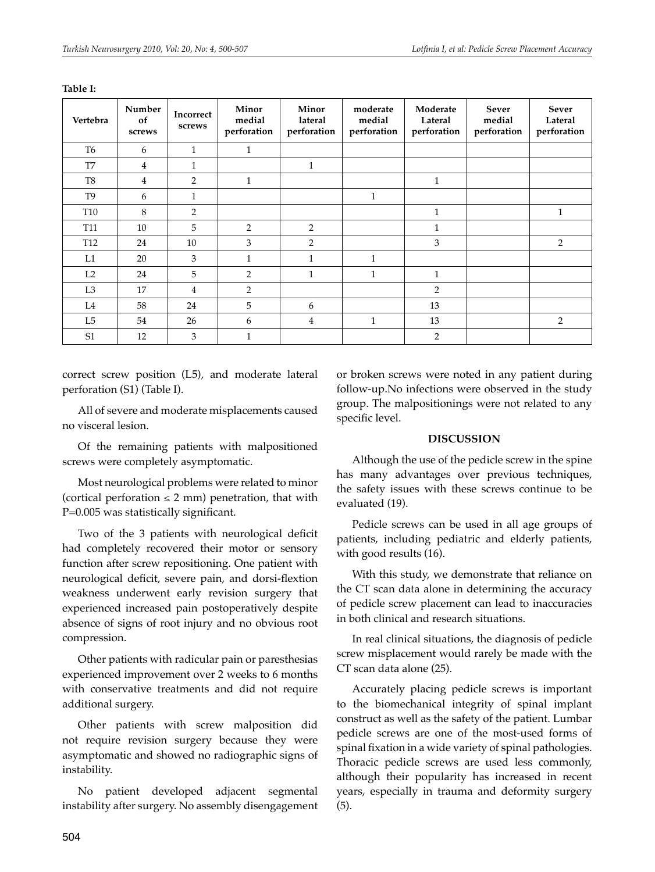| Vertebra        | Number<br>of<br>screws | Incorrect<br>screws | Minor<br>medial<br>perforation | Minor<br>lateral<br>perforation | moderate<br>medial<br>perforation | Moderate<br>Lateral<br>perforation | <b>Sever</b><br>medial<br>perforation | <b>Sever</b><br>Lateral<br>perforation |
|-----------------|------------------------|---------------------|--------------------------------|---------------------------------|-----------------------------------|------------------------------------|---------------------------------------|----------------------------------------|
| T <sub>6</sub>  | 6                      | $\mathbf{1}$        | 1                              |                                 |                                   |                                    |                                       |                                        |
| T7              | $\overline{4}$         | $\mathbf{1}$        |                                | 1                               |                                   |                                    |                                       |                                        |
| T <sub>8</sub>  | $\overline{4}$         | 2                   | $\mathbf{1}$                   |                                 |                                   | $\mathbf{1}$                       |                                       |                                        |
| T <sub>9</sub>  | 6                      | $\mathbf{1}$        |                                |                                 | $\mathbf{1}$                      |                                    |                                       |                                        |
| T <sub>10</sub> | 8                      | 2                   |                                |                                 |                                   | $\mathbf{1}$                       |                                       | $\mathbf{1}$                           |
| T <sub>11</sub> | 10                     | 5                   | 2                              | $\overline{2}$                  |                                   | 1                                  |                                       |                                        |
| T <sub>12</sub> | 24                     | 10                  | 3                              | $\overline{2}$                  |                                   | 3                                  |                                       | 2                                      |
| L1              | 20                     | 3                   | $\mathbf{1}$                   | 1                               | $\mathbf{1}$                      |                                    |                                       |                                        |
| L <sub>2</sub>  | 24                     | 5                   | $\overline{2}$                 | 1                               | 1                                 | 1                                  |                                       |                                        |
| L <sub>3</sub>  | 17                     | $\overline{4}$      | $\overline{2}$                 |                                 |                                   | 2                                  |                                       |                                        |
| L4              | 58                     | 24                  | 5                              | 6                               |                                   | 13                                 |                                       |                                        |
| L5              | 54                     | 26                  | 6                              | 4                               | $\mathbf{1}$                      | 13                                 |                                       | 2                                      |
| S <sub>1</sub>  | 12                     | 3                   | $\mathbf{1}$                   |                                 |                                   | 2                                  |                                       |                                        |

**Table I:**

correct screw position (L5), and moderate lateral perforation (S1) (Table I).

All of severe and moderate misplacements caused no visceral lesion.

Of the remaining patients with malpositioned screws were completely asymptomatic.

Most neurological problems were related to minor (cortical perforation  $\leq 2$  mm) penetration, that with P=0.005 was statistically significant.

Two of the 3 patients with neurological deficit had completely recovered their motor or sensory function after screw repositioning. One patient with neurological deficit, severe pain, and dorsi-flextion weakness underwent early revision surgery that experienced increased pain postoperatively despite absence of signs of root injury and no obvious root compression.

Other patients with radicular pain or paresthesias experienced improvement over 2 weeks to 6 months with conservative treatments and did not require additional surgery.

Other patients with screw malposition did not require revision surgery because they were asymptomatic and showed no radiographic signs of instability.

No patient developed adjacent segmental instability after surgery. No assembly disengagement or broken screws were noted in any patient during follow-up.No infections were observed in the study group. The malpositionings were not related to any specific level.

#### **Discussion**

Although the use of the pedicle screw in the spine has many advantages over previous techniques, the safety issues with these screws continue to be evaluated (19).

Pedicle screws can be used in all age groups of patients, including pediatric and elderly patients, with good results (16).

With this study, we demonstrate that reliance on the CT scan data alone in determining the accuracy of pedicle screw placement can lead to inaccuracies in both clinical and research situations.

In real clinical situations, the diagnosis of pedicle screw misplacement would rarely be made with the CT scan data alone (25).

Accurately placing pedicle screws is important to the biomechanical integrity of spinal implant construct as well as the safety of the patient. Lumbar pedicle screws are one of the most-used forms of spinal fixation in a wide variety of spinal pathologies. Thoracic pedicle screws are used less commonly, although their popularity has increased in recent years, especially in trauma and deformity surgery (5).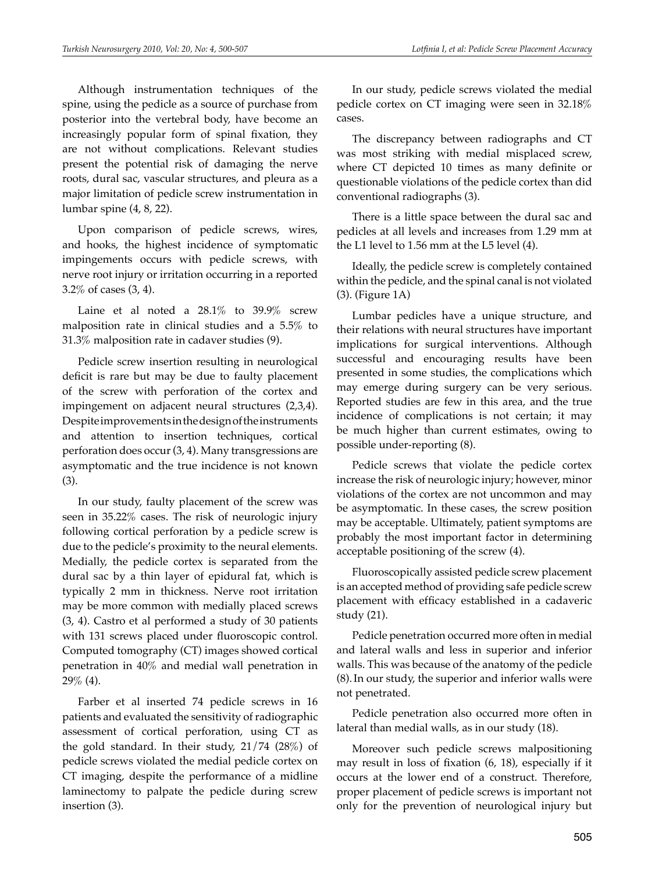Although instrumentation techniques of the spine, using the pedicle as a source of purchase from posterior into the vertebral body, have become an increasingly popular form of spinal fixation, they are not without complications. Relevant studies present the potential risk of damaging the nerve roots, dural sac, vascular structures, and pleura as a major limitation of pedicle screw instrumentation in lumbar spine (4, 8, 22).

Upon comparison of pedicle screws, wires, and hooks, the highest incidence of symptomatic impingements occurs with pedicle screws, with nerve root injury or irritation occurring in a reported 3.2% of cases (3, 4).

Laine et al noted a  $28.1\%$  to  $39.9\%$  screw malposition rate in clinical studies and a 5.5% to 31.3% malposition rate in cadaver studies (9).

Pedicle screw insertion resulting in neurological deficit is rare but may be due to faulty placement of the screw with perforation of the cortex and impingement on adjacent neural structures (2,3,4). Despite improvements in the design of the instruments and attention to insertion techniques, cortical perforation does occur (3, 4). Many transgressions are asymptomatic and the true incidence is not known (3).

In our study, faulty placement of the screw was seen in 35.22% cases. The risk of neurologic injury following cortical perforation by a pedicle screw is due to the pedicle's proximity to the neural elements. Medially, the pedicle cortex is separated from the dural sac by a thin layer of epidural fat, which is typically 2 mm in thickness. Nerve root irritation may be more common with medially placed screws (3, 4). Castro et al performed a study of 30 patients with 131 screws placed under fluoroscopic control. Computed tomography (CT) images showed cortical penetration in 40% and medial wall penetration in 29% (4).

Farber et al inserted 74 pedicle screws in 16 patients and evaluated the sensitivity of radiographic assessment of cortical perforation, using CT as the gold standard. In their study, 21/74 (28%) of pedicle screws violated the medial pedicle cortex on CT imaging, despite the performance of a midline laminectomy to palpate the pedicle during screw insertion (3).

In our study, pedicle screws violated the medial pedicle cortex on CT imaging were seen in 32.18% cases.

The discrepancy between radiographs and CT was most striking with medial misplaced screw, where CT depicted 10 times as many definite or questionable violations of the pedicle cortex than did conventional radiographs (3).

There is a little space between the dural sac and pedicles at all levels and increases from 1.29 mm at the L1 level to 1.56 mm at the L5 level (4).

Ideally, the pedicle screw is completely contained within the pedicle, and the spinal canal is not violated (3). (Figure 1A)

Lumbar pedicles have a unique structure, and their relations with neural structures have important implications for surgical interventions. Although successful and encouraging results have been presented in some studies, the complications which may emerge during surgery can be very serious. Reported studies are few in this area, and the true incidence of complications is not certain; it may be much higher than current estimates, owing to possible under-reporting (8).

Pedicle screws that violate the pedicle cortex increase the risk of neurologic injury; however, minor violations of the cortex are not uncommon and may be asymptomatic. In these cases, the screw position may be acceptable. Ultimately, patient symptoms are probably the most important factor in determining acceptable positioning of the screw (4).

Fluoroscopically assisted pedicle screw placement is an accepted method of providing safe pedicle screw placement with efficacy established in a cadaveric study (21).

Pedicle penetration occurred more often in medial and lateral walls and less in superior and inferior walls. This was because of the anatomy of the pedicle (8).In our study, the superior and inferior walls were not penetrated.

Pedicle penetration also occurred more often in lateral than medial walls, as in our study (18).

Moreover such pedicle screws malpositioning may result in loss of fixation (6, 18), especially if it occurs at the lower end of a construct. Therefore, proper placement of pedicle screws is important not only for the prevention of neurological injury but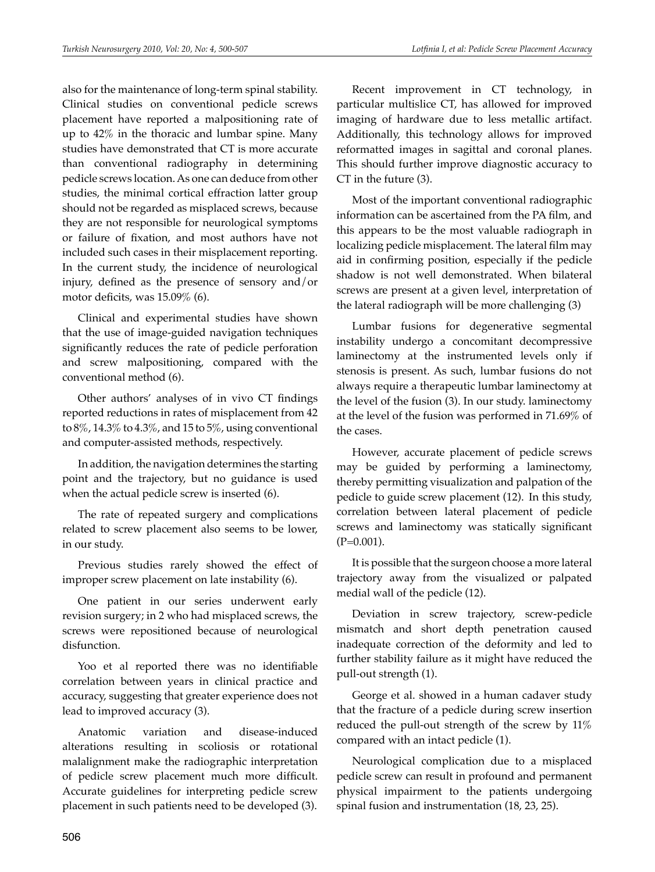also for the maintenance of long-term spinal stability. Clinical studies on conventional pedicle screws placement have reported a malpositioning rate of up to 42% in the thoracic and lumbar spine. Many studies have demonstrated that CT is more accurate than conventional radiography in determining pedicle screws location. As one can deduce from other studies, the minimal cortical effraction latter group should not be regarded as misplaced screws, because they are not responsible for neurological symptoms or failure of fixation, and most authors have not included such cases in their misplacement reporting. In the current study, the incidence of neurological injury, defined as the presence of sensory and/or motor deficits, was 15.09% (6).

Clinical and experimental studies have shown that the use of image-guided navigation techniques significantly reduces the rate of pedicle perforation and screw malpositioning, compared with the conventional method (6).

Other authors' analyses of in vivo CT findings reported reductions in rates of misplacement from 42 to  $8\%$ , 14.3% to 4.3%, and 15 to 5%, using conventional and computer-assisted methods, respectively.

In addition, the navigation determines the starting point and the trajectory, but no guidance is used when the actual pedicle screw is inserted (6).

The rate of repeated surgery and complications related to screw placement also seems to be lower, in our study.

Previous studies rarely showed the effect of improper screw placement on late instability (6).

One patient in our series underwent early revision surgery; in 2 who had misplaced screws, the screws were repositioned because of neurological disfunction.

Yoo et al reported there was no identifiable correlation between years in clinical practice and accuracy, suggesting that greater experience does not lead to improved accuracy (3).

Anatomic variation and disease-induced alterations resulting in scoliosis or rotational malalignment make the radiographic interpretation of pedicle screw placement much more difficult. Accurate guidelines for interpreting pedicle screw placement in such patients need to be developed (3).

Recent improvement in CT technology, in particular multislice CT, has allowed for improved imaging of hardware due to less metallic artifact. Additionally, this technology allows for improved reformatted images in sagittal and coronal planes. This should further improve diagnostic accuracy to CT in the future (3).

Most of the important conventional radiographic information can be ascertained from the PA film, and this appears to be the most valuable radiograph in localizing pedicle misplacement. The lateral film may aid in confirming position, especially if the pedicle shadow is not well demonstrated. When bilateral screws are present at a given level, interpretation of the lateral radiograph will be more challenging (3)

Lumbar fusions for degenerative segmental instability undergo a concomitant decompressive laminectomy at the instrumented levels only if stenosis is present. As such, lumbar fusions do not always require a therapeutic lumbar laminectomy at the level of the fusion (3). In our study. laminectomy at the level of the fusion was performed in 71.69% of the cases.

However, accurate placement of pedicle screws may be guided by performing a laminectomy, thereby permitting visualization and palpation of the pedicle to guide screw placement (12). In this study, correlation between lateral placement of pedicle screws and laminectomy was statically significant  $(P=0.001)$ .

It is possible that the surgeon choose a more lateral trajectory away from the visualized or palpated medial wall of the pedicle (12).

Deviation in screw trajectory, screw-pedicle mismatch and short depth penetration caused inadequate correction of the deformity and led to further stability failure as it might have reduced the pull-out strength (1).

George et al. showed in a human cadaver study that the fracture of a pedicle during screw insertion reduced the pull-out strength of the screw by 11% compared with an intact pedicle (1).

Neurological complication due to a misplaced pedicle screw can result in profound and permanent physical impairment to the patients undergoing spinal fusion and instrumentation (18, 23, 25).